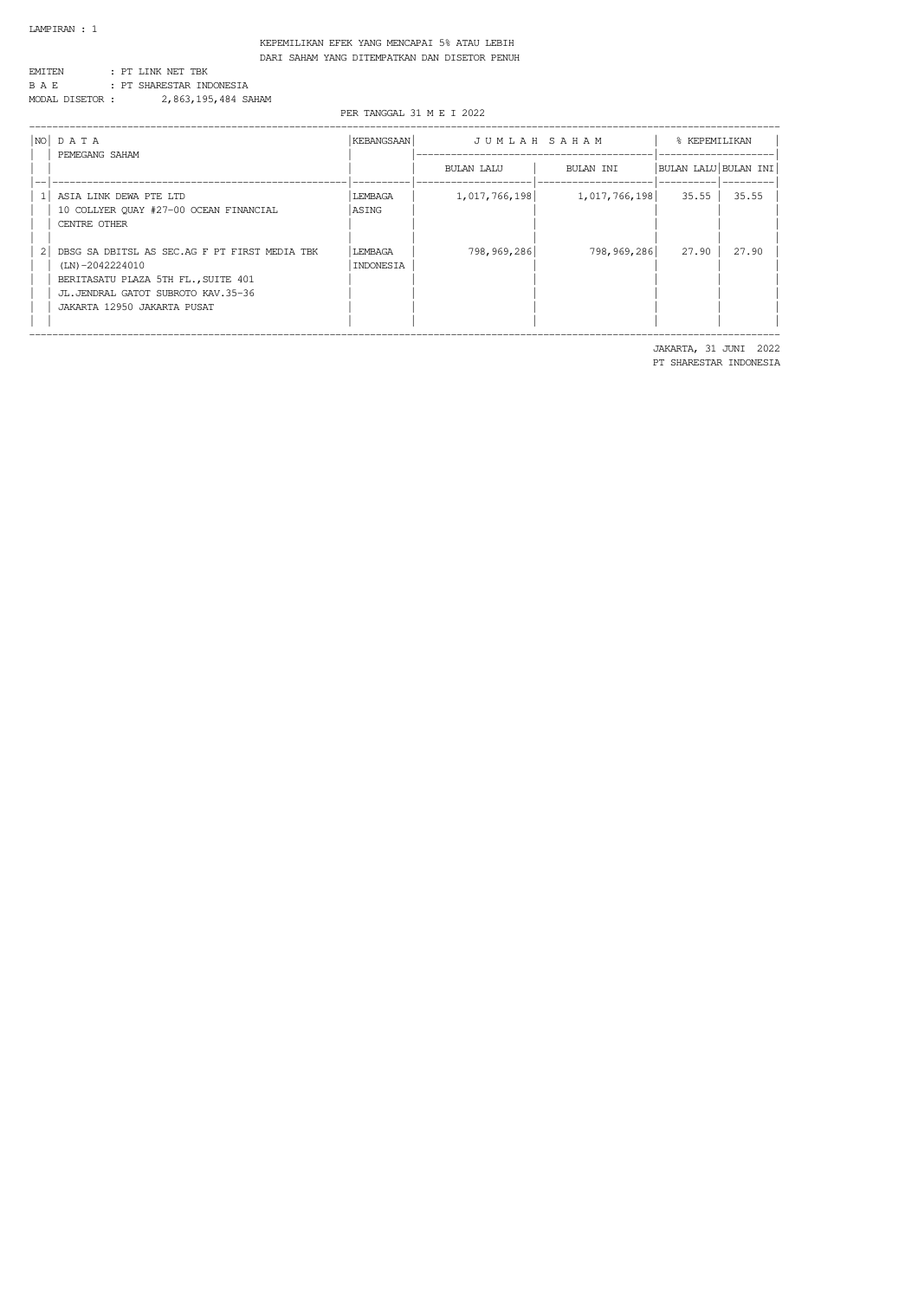KEPEMILIKAN EFEK YANG MENCAPAI 5% ATAU LEBIH DARI SAHAM YANG DITEMPATKAN DAN DISETOR PENUH

| FMT TF:N        |  | : PT LINK NET TBK        |
|-----------------|--|--------------------------|
| B A E.          |  | : PT SHARESTAR INDONESIA |
| MODAI DISETOR : |  | 2,863,195,484 SAHAM      |

PER TANGGAL 31 M E I 2022

|                | $NO$ $DATA$<br>PEMEGANG SAHAM                                                                                                                                                    | <b>KEBANGSAAN</b>    | JUMLAH SAHAM  | % KEPEMILIKAN |                      |       |
|----------------|----------------------------------------------------------------------------------------------------------------------------------------------------------------------------------|----------------------|---------------|---------------|----------------------|-------|
|                |                                                                                                                                                                                  |                      | BULAN LALU    | BULAN TNT     | BULAN LALU BULAN INI |       |
|                | ASIA LINK DEWA PTE LTD<br>10 COLLYER QUAY #27-00 OCEAN FINANCIAL<br>CENTRE OTHER                                                                                                 | LEMBAGA<br>ASING     | 1,017,766,198 | 1,017,766,198 | 35.55                | 35.55 |
| $\overline{2}$ | DBSG SA DBITSL AS SEC.AG F PT FIRST MEDIA TBK<br>$(LN) - 2042224010$<br>BERITASATU PLAZA 5TH FL., SUITE 401<br>JL.JENDRAL GATOT SUBROTO KAV.35-36<br>JAKARTA 12950 JAKARTA PUSAT | LEMBAGA<br>INDONESIA | 798,969,286   | 798,969,286   | 27.90                | 27.90 |

 JAKARTA, 31 JUNI 2022 PT SHARESTAR INDONESIA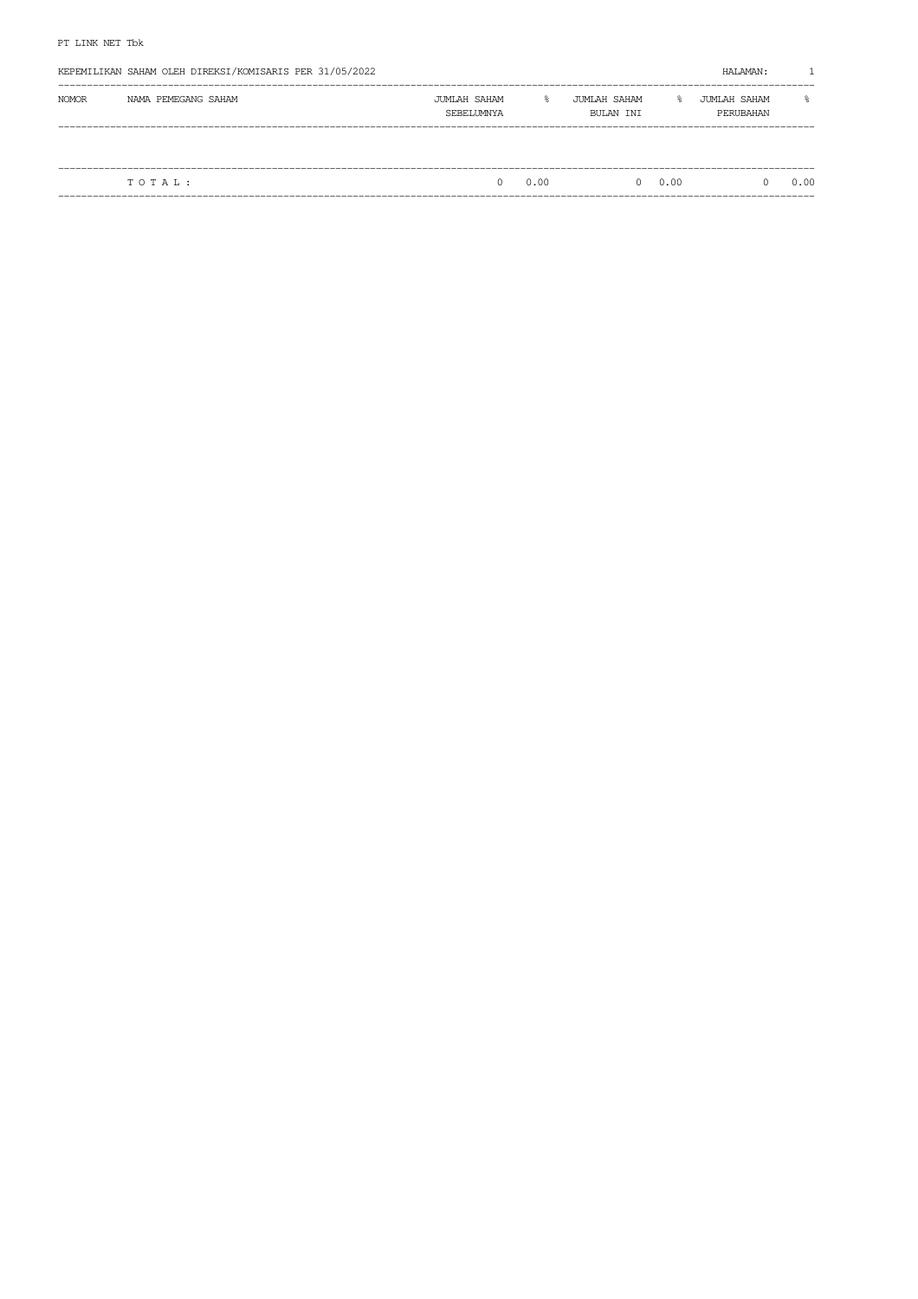| <b>NOMOR</b><br>NAMA PEMEGANG SAHAM<br>JUMLAH SAHAM<br>JUMLAH SAHAM<br>$\approx$<br>g.<br>JUMLAH SAHAM<br>PERUBAHAN<br>SEBELUMNYA<br>BULAN INI | KEPEMILIKAN SAHAM OLEH DIREKSI/KOMISARIS PER 31/05/2022 |  |  | HALAMAN: |           |
|------------------------------------------------------------------------------------------------------------------------------------------------|---------------------------------------------------------|--|--|----------|-----------|
|                                                                                                                                                |                                                         |  |  |          | $\approx$ |
|                                                                                                                                                |                                                         |  |  |          |           |
| 0.00<br>0.00<br>TOTAL:<br><sup>n</sup><br><sup>n</sup><br>0                                                                                    |                                                         |  |  |          | 0.00      |